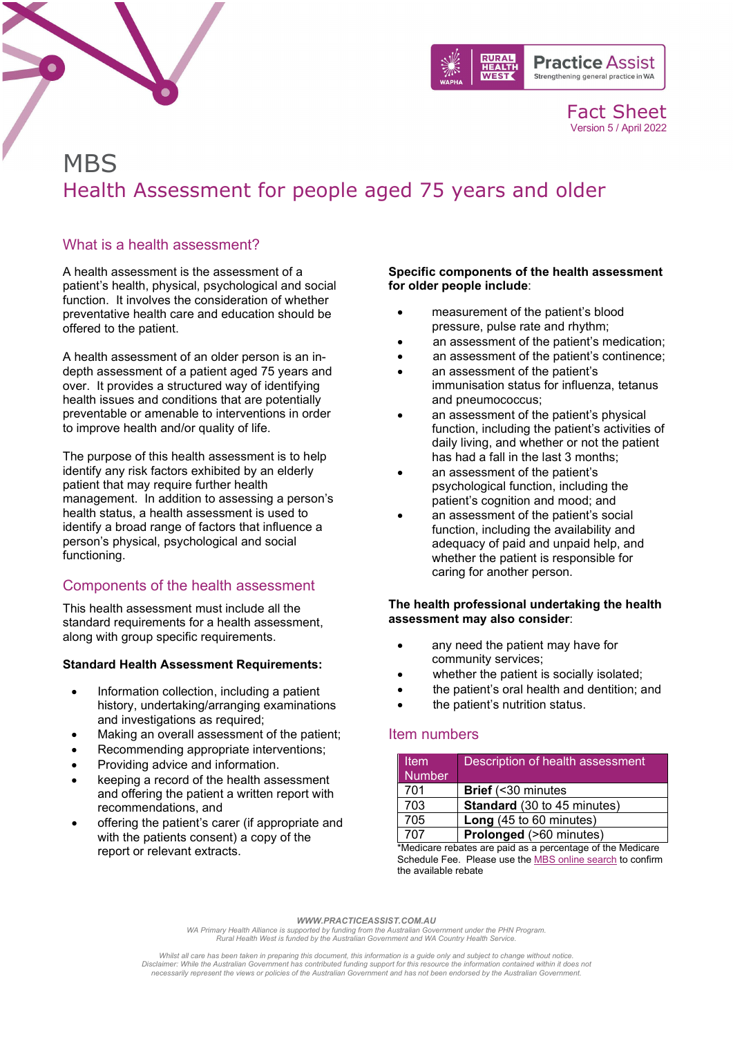

Fact Sheet Version 5 / April 2022

# **MBS** Health Assessment for people aged 75 years and older

### What is a health assessment?

A health assessment is the assessment of a patient's health, physical, psychological and social function. It involves the consideration of whether preventative health care and education should be offered to the patient.

A health assessment of an older person is an indepth assessment of a patient aged 75 years and over. It provides a structured way of identifying health issues and conditions that are potentially preventable or amenable to interventions in order to improve health and/or quality of life.

The purpose of this health assessment is to help identify any risk factors exhibited by an elderly patient that may require further health management. In addition to assessing a person's health status, a health assessment is used to identify a broad range of factors that influence a person's physical, psychological and social functioning.

## Components of the health assessment

This health assessment must include all the standard requirements for a health assessment, along with group specific requirements.

#### **Standard Health Assessment Requirements:**

- Information collection, including a patient history, undertaking/arranging examinations and investigations as required;
- Making an overall assessment of the patient;
- Recommending appropriate interventions;
- Providing advice and information.
- keeping a record of the health assessment and offering the patient a written report with recommendations, and
- offering the patient's carer (if appropriate and with the patients consent) a copy of the report or relevant extracts.

#### **Specific components of the health assessment for older people include**:

- measurement of the patient's blood pressure, pulse rate and rhythm;
- an assessment of the patient's medication;
- an assessment of the patient's continence;
- an assessment of the patient's immunisation status for influenza, tetanus and pneumococcus;
- an assessment of the patient's physical function, including the patient's activities of daily living, and whether or not the patient has had a fall in the last 3 months;
- an assessment of the patient's psychological function, including the patient's cognition and mood; and
- an assessment of the patient's social function, including the availability and adequacy of paid and unpaid help, and whether the patient is responsible for caring for another person.

#### **The health professional undertaking the health assessment may also consider**:

- any need the patient may have for community services;
- whether the patient is socially isolated;
- the patient's oral health and dentition; and
- the patient's nutrition status.

## Item numbers

| <b>Item</b>                                                | Description of health assessment |
|------------------------------------------------------------|----------------------------------|
| <b>Number</b>                                              |                                  |
| 701                                                        | <b>Brief</b> (<30 minutes        |
| 703                                                        | Standard (30 to 45 minutes)      |
| 705                                                        | Long (45 to 60 minutes)          |
| 707                                                        | Prolonged (>60 minutes)          |
| *Medicare rebates are paid as a percentage of the Medicare |                                  |

Schedule Fee. Please use the [MBS online search](http://www9.health.gov.au/mbs/search.cfm) to confirm the available rebate

*WWW.PRACTICEASSIST.COM.AU*

*WA Primary Health Alliance is supported by funding from the Australian Government under the PHN Program. Rural Health West is funded by the Australian Government and WA Country Health Service.* 

Whilst all care has been taken in preparing this document, this information is a guide only and subject to change without notice.<br>Disclaimer: While the Australian Government has contributed funding support for this resourc *necessarily represent the views or policies of the Australian Government and has not been endorsed by the Australian Government.*